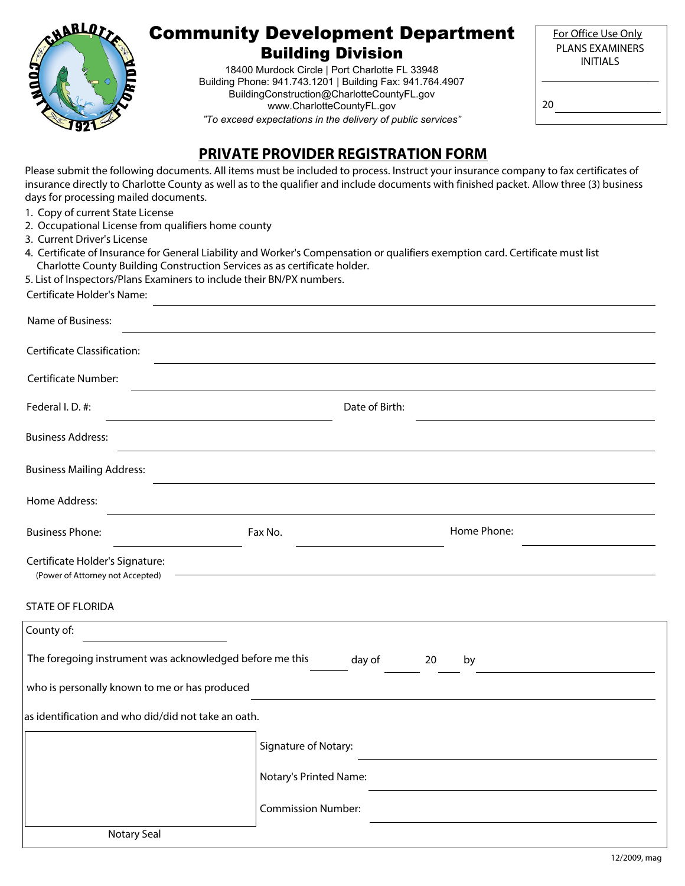

# Community Development Department Building Division

18400 Murdock Circle | Port Charlotte FL 33948 Building Phone: 941.743.1201 | Building Fax: 941.764.4907 BuildingConstruction@CharlotteCountyFL.gov www.CharlotteCountyFL.gov *"To exceed expectations in the delivery of public services"*

| For Office Use Only |
|---------------------|
| PI ANS FXAMINFRS    |
| <b>INITIALS</b>     |
|                     |

20

### **PRIVATE PROVIDER REGISTRATION FORM**

Please submit the following documents. All items must be included to process. Instruct your insurance company to fax certificates of insurance directly to Charlotte County as well as to the qualifier and include documents with finished packet. Allow three (3) business days for processing mailed documents.

- 1. Copy of current State License
- 2. Occupational License from qualifiers home county
- 3. Current Driver's License
- 4. Certificate of Insurance for General Liability and Worker's Compensation or qualifiers exemption card. Certificate must list Charlotte County Building Construction Services as as certificate holder.
- 5. List of Inspectors/Plans Examiners to include their BN/PX numbers.

| Certificate Holder's Name: |  |
|----------------------------|--|
| Name of Business:          |  |

| <b>Certificate Classification:</b> |                |  |
|------------------------------------|----------------|--|
| Certificate Number:                |                |  |
| Federal I.D. #:                    | Date of Birth: |  |
| <b>Business Address:</b>           |                |  |
| <b>Business Mailing Address:</b>   |                |  |
| Home Address:                      |                |  |

| <b>Business Phone:</b>                                              | Fax No. | Home Phone: |
|---------------------------------------------------------------------|---------|-------------|
| Certificate Holder's Signature:<br>(Power of Attorney not Accepted) |         |             |
| STATE OF FLORIDA                                                    |         |             |

| County of:                                               |                           |
|----------------------------------------------------------|---------------------------|
| The foregoing instrument was acknowledged before me this | day of<br>20<br>by        |
| who is personally known to me or has produced            |                           |
| as identification and who did/did not take an oath.      |                           |
|                                                          | Signature of Notary:      |
|                                                          | Notary's Printed Name:    |
|                                                          | <b>Commission Number:</b> |
| Notary Seal                                              |                           |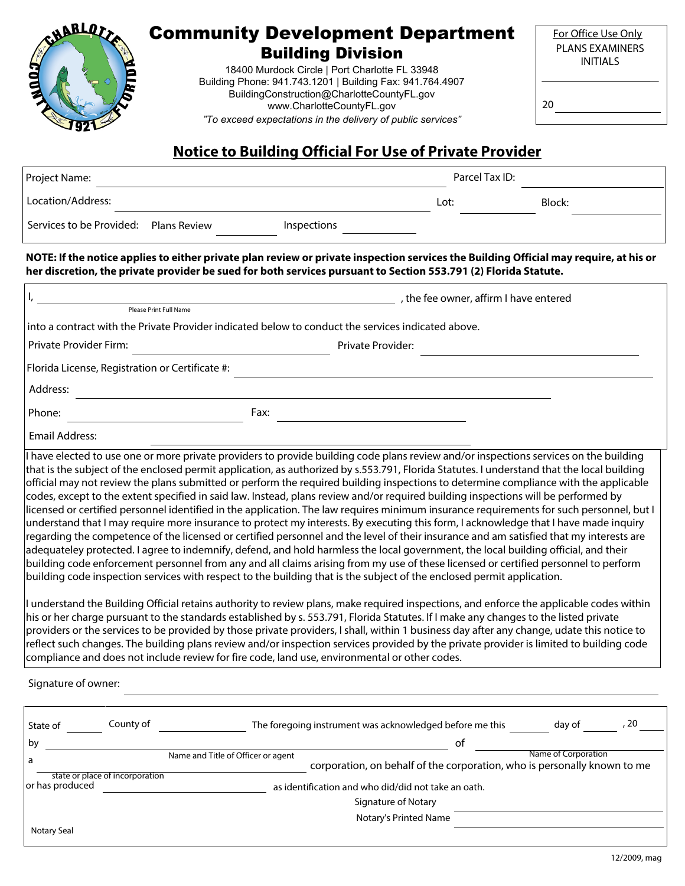

# Community Development Department

Building Division

18400 Murdock Circle | Port Charlotte FL 33948 Building Phone: 941.743.1201 | Building Fax: 941.764.4907 BuildingConstruction@CharlotteCountyFL.gov www.CharlotteCountyFL.gov *"To exceed expectations in the delivery of public services"*

20

# **Notice to Building Official For Use of Private Provider**

| Project Name:                         |  |             | Parcel Tax ID: |  |        |
|---------------------------------------|--|-------------|----------------|--|--------|
| Location/Address:                     |  |             | Lot:           |  | Block: |
| Services to be Provided: Plans Review |  | Inspections |                |  |        |

**NOTE: If the notice applies to either private plan review or private inspection services the Building Official may require, at his or her discretion, the private provider be sued for both services pursuant to Section 553.791 (2) Florida Statute.**

|                                                 | , the fee owner, affirm I have entered                                                                                                                                                                                                                                                                                                                                                                                                                                                                                                                                                                                                                                                                                                                                                                                                                                                                                                                                                                                                                                                                                                                                                                                                                                                                                                                                                                   |
|-------------------------------------------------|----------------------------------------------------------------------------------------------------------------------------------------------------------------------------------------------------------------------------------------------------------------------------------------------------------------------------------------------------------------------------------------------------------------------------------------------------------------------------------------------------------------------------------------------------------------------------------------------------------------------------------------------------------------------------------------------------------------------------------------------------------------------------------------------------------------------------------------------------------------------------------------------------------------------------------------------------------------------------------------------------------------------------------------------------------------------------------------------------------------------------------------------------------------------------------------------------------------------------------------------------------------------------------------------------------------------------------------------------------------------------------------------------------|
|                                                 | Please Print Full Name<br>into a contract with the Private Provider indicated below to conduct the services indicated above.                                                                                                                                                                                                                                                                                                                                                                                                                                                                                                                                                                                                                                                                                                                                                                                                                                                                                                                                                                                                                                                                                                                                                                                                                                                                             |
|                                                 |                                                                                                                                                                                                                                                                                                                                                                                                                                                                                                                                                                                                                                                                                                                                                                                                                                                                                                                                                                                                                                                                                                                                                                                                                                                                                                                                                                                                          |
| Private Provider Firm:                          | Private Provider:                                                                                                                                                                                                                                                                                                                                                                                                                                                                                                                                                                                                                                                                                                                                                                                                                                                                                                                                                                                                                                                                                                                                                                                                                                                                                                                                                                                        |
| Florida License, Registration or Certificate #: |                                                                                                                                                                                                                                                                                                                                                                                                                                                                                                                                                                                                                                                                                                                                                                                                                                                                                                                                                                                                                                                                                                                                                                                                                                                                                                                                                                                                          |
| Address:                                        |                                                                                                                                                                                                                                                                                                                                                                                                                                                                                                                                                                                                                                                                                                                                                                                                                                                                                                                                                                                                                                                                                                                                                                                                                                                                                                                                                                                                          |
| Phone:                                          | Fax:                                                                                                                                                                                                                                                                                                                                                                                                                                                                                                                                                                                                                                                                                                                                                                                                                                                                                                                                                                                                                                                                                                                                                                                                                                                                                                                                                                                                     |
| <b>Email Address:</b>                           |                                                                                                                                                                                                                                                                                                                                                                                                                                                                                                                                                                                                                                                                                                                                                                                                                                                                                                                                                                                                                                                                                                                                                                                                                                                                                                                                                                                                          |
|                                                 | I have elected to use one or more private providers to provide building code plans review and/or inspections services on the building<br>that is the subject of the enclosed permit application, as authorized by s.553.791, Florida Statutes. I understand that the local building<br>official may not review the plans submitted or perform the required building inspections to determine compliance with the applicable<br>codes, except to the extent specified in said law. Instead, plans review and/or required building inspections will be performed by<br>licensed or certified personnel identified in the application. The law requires minimum insurance requirements for such personnel, but l<br>understand that I may require more insurance to protect my interests. By executing this form, I acknowledge that I have made inquiry<br>regarding the competence of the licensed or certified personnel and the level of their insurance and am satisfied that my interests are<br>adequateley protected. I agree to indemnify, defend, and hold harmless the local government, the local building official, and their<br>building code enforcement personnel from any and all claims arising from my use of these licensed or certified personnel to perform<br>building code inspection services with respect to the building that is the subject of the enclosed permit application. |
|                                                 | I understand the Building Official retains authority to review plans, make required inspections, and enforce the applicable codes within<br>his or her charge pursuant to the standards established by s. 553.791, Florida Statutes. If I make any changes to the listed private<br>providers or the services to be provided by those private providers, I shall, within 1 business day after any change, udate this notice to<br>reflect such changes. The building plans review and/or inspection services provided by the private provider is limited to building code<br>compliance and does not include review for fire code, land use, environmental or other codes.                                                                                                                                                                                                                                                                                                                                                                                                                                                                                                                                                                                                                                                                                                                               |

Signature of owner:

| State of        | County of                       | The foregoing instrument was acknowledged before me this                                                       |    | , 20<br>day of      |
|-----------------|---------------------------------|----------------------------------------------------------------------------------------------------------------|----|---------------------|
| by              |                                 |                                                                                                                | оf |                     |
| a               |                                 | Name and Title of Officer or agent<br>corporation, on behalf of the corporation, who is personally known to me |    | Name of Corporation |
| or has produced | state or place of incorporation | as identification and who did/did not take an oath.                                                            |    |                     |
|                 |                                 | Signature of Notary                                                                                            |    |                     |
|                 |                                 | Notary's Printed Name                                                                                          |    |                     |
| Notary Seal     |                                 |                                                                                                                |    |                     |